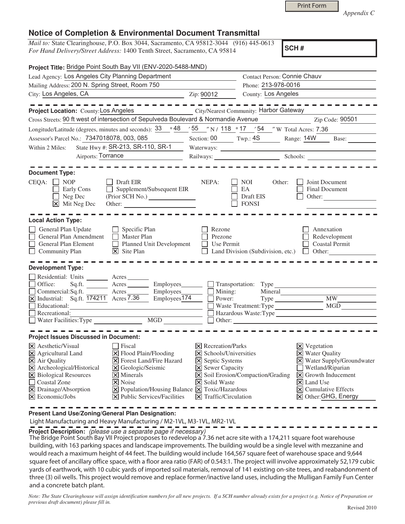|  | <b>Print Form</b> |  |
|--|-------------------|--|
|  |                   |  |

*Appendix C* 

## **Notice of Completion & Environmental Document Transmittal**

*Mail to:* State Clearinghouse, P.O. Box 3044, Sacramento, CA 95812-3044 (916) 445-0613 *For Hand Delivery/Street Address:* 1400 Tenth Street, Sacramento, CA 95814

**SCH #**

| Project Title: Bridge Point South Bay VII (ENV-2020-5488-MND)                                                                                                                                                                                                                                                                                                                                                                                                                                 |                                                                                                                                                                                            |                                                                                                                                      |                                                                                                                                                                                                                                                                 |  |
|-----------------------------------------------------------------------------------------------------------------------------------------------------------------------------------------------------------------------------------------------------------------------------------------------------------------------------------------------------------------------------------------------------------------------------------------------------------------------------------------------|--------------------------------------------------------------------------------------------------------------------------------------------------------------------------------------------|--------------------------------------------------------------------------------------------------------------------------------------|-----------------------------------------------------------------------------------------------------------------------------------------------------------------------------------------------------------------------------------------------------------------|--|
| Lead Agency: Los Angeles City Planning Department                                                                                                                                                                                                                                                                                                                                                                                                                                             | Contact Person: Connie Chauv                                                                                                                                                               |                                                                                                                                      |                                                                                                                                                                                                                                                                 |  |
| Mailing Address: 200 N. Spring Street, Room 750                                                                                                                                                                                                                                                                                                                                                                                                                                               |                                                                                                                                                                                            | Phone: 213-978-0016                                                                                                                  |                                                                                                                                                                                                                                                                 |  |
| City: Los Angeles, CA<br><u> 1989 - Johann Barbara, martin a</u>                                                                                                                                                                                                                                                                                                                                                                                                                              | Zip: 90012                                                                                                                                                                                 |                                                                                                                                      | County: Los Angeles                                                                                                                                                                                                                                             |  |
| Project Location: County: Los Angeles<br>Cross Streets: 90 ft west of intersection of Sepulveda Boulevard & Normandie Avenue                                                                                                                                                                                                                                                                                                                                                                  |                                                                                                                                                                                            | City/Nearest Community: Harbor Gateway                                                                                               | Zip Code: 90501                                                                                                                                                                                                                                                 |  |
| Longitude/Latitude (degrees, minutes and seconds): $33 \cdot 948$ / $55$ /N / 118 $\cdot$ 17 / 54 /N Total Acres: 7.36                                                                                                                                                                                                                                                                                                                                                                        |                                                                                                                                                                                            |                                                                                                                                      |                                                                                                                                                                                                                                                                 |  |
| Assessor's Parcel No.: 7347018078, 003, 085                                                                                                                                                                                                                                                                                                                                                                                                                                                   |                                                                                                                                                                                            |                                                                                                                                      | Section: 00 Twp.: 4S Range: 14W Base:                                                                                                                                                                                                                           |  |
| State Hwy #: SR-213, SR-110, SR-1<br>Within 2 Miles:                                                                                                                                                                                                                                                                                                                                                                                                                                          |                                                                                                                                                                                            |                                                                                                                                      |                                                                                                                                                                                                                                                                 |  |
| Airports: Torrance<br><u> 1980 - Johann Barbara, martin a</u>                                                                                                                                                                                                                                                                                                                                                                                                                                 |                                                                                                                                                                                            |                                                                                                                                      | Railways: Schools:                                                                                                                                                                                                                                              |  |
|                                                                                                                                                                                                                                                                                                                                                                                                                                                                                               |                                                                                                                                                                                            |                                                                                                                                      |                                                                                                                                                                                                                                                                 |  |
| <b>Document Type:</b><br>$CEQA: \Box NP$<br>Draft EIR<br>Supplement/Subsequent EIR<br>Early Cons<br>Neg Dec<br>$\boxed{\mathsf{X}}$ Mit Neg Dec                                                                                                                                                                                                                                                                                                                                               | NEPA:                                                                                                                                                                                      | <b>NOI</b><br>Other:<br>EA<br>Draft EIS<br><b>FONSI</b>                                                                              | Joint Document<br>Final Document<br>Other:                                                                                                                                                                                                                      |  |
| <b>Local Action Type:</b>                                                                                                                                                                                                                                                                                                                                                                                                                                                                     |                                                                                                                                                                                            |                                                                                                                                      |                                                                                                                                                                                                                                                                 |  |
| General Plan Update<br>$\Box$ Specific Plan<br>General Plan Amendment<br>Master Plan<br>Planned Unit Development<br>General Plan Element<br>$\overline{\mathsf{x}}$ Site Plan<br>Community Plan                                                                                                                                                                                                                                                                                               | Rezone<br>Prezone<br>    Use Permit                                                                                                                                                        | Land Division (Subdivision, etc.) $\Box$ Other:                                                                                      | Annexation<br>Redevelopment<br><b>Coastal Permit</b>                                                                                                                                                                                                            |  |
| <b>Development Type:</b>                                                                                                                                                                                                                                                                                                                                                                                                                                                                      |                                                                                                                                                                                            |                                                                                                                                      |                                                                                                                                                                                                                                                                 |  |
| Residential: Units _______ Acres<br>Office:<br>$Sq.ft.$ Acres<br>$\underline{\square}$ Commercial: Sq.ft. $\underline{\overline{174211}}$ Acres $\underline{\overline{7.36}}$<br>Employees_______<br>$Employes\overline{174}$<br>Educational:<br>Recreational:<br>MGD<br>Water Facilities: Type                                                                                                                                                                                               |                                                                                                                                                                                            | Employees<br><u>Fransportation</u> : Type<br>Mining:<br>Power:<br>Mineral<br>Waste Treatment: Type<br>Hazardous Waste:Type<br>Other: | Type MW<br>MGD                                                                                                                                                                                                                                                  |  |
| <b>Project Issues Discussed in Document:</b>                                                                                                                                                                                                                                                                                                                                                                                                                                                  |                                                                                                                                                                                            |                                                                                                                                      |                                                                                                                                                                                                                                                                 |  |
| $ \mathsf{X} $ Aesthetic/Visual<br>  Fiscal<br>X Agricultural Land<br>$\Xi$ Flood Plain/Flooding<br>X Air Quality<br>X Forest Land/Fire Hazard<br>X Archeological/Historical<br>X Geologic/Seismic<br>X Biological Resources<br>$\overline{\mathsf{x}}$ Minerals<br>Coastal Zone<br>$\overline{\mathsf{x}}$ Noise<br>X Drainage/Absorption<br>$[\times]$ Population/Housing Balance $[\times]$ Toxic/Hazardous<br>$\boxtimes$ Economic/Jobs<br>$ \mathbf{\nabla} $ Public Services/Facilities | $ \mathsf{X} $ Recreation/Parks<br>$\times$ Schools/Universities<br><b>X</b> Septic Systems<br><b>X</b> Sewer Capacity<br><b>X</b> Solid Waste<br>$\boxed{\mathsf{X}}$ Traffic/Circulation | X Soil Erosion/Compaction/Grading                                                                                                    | $\boxtimes$ Vegetation<br><b>X</b> Water Quality<br>X Water Supply/Groundwater<br>Wetland/Riparian<br>$\vert\mathbf{X}\vert$ Growth Inducement<br>$\vert\overline{\mathsf{x}}\vert$ Land Use<br>$\boxed{\mathsf{X}}$ Cumulative Effects<br>X Other: GHG, Energy |  |

**Present Land Use/Zoning/General Plan Designation:**

Light Manufacturing and Heavy Manufacturing / M2-1VL, M3-1VL, MR2-1VL

**Project Description:** (please use a separate page if necessary)

The Bridge Point South Bay VII Project proposes to redevelop a 7.36 net acre site with a 174,211 square foot warehouse building, with 163 parking spaces and landscape improvements. The building would be a single level with mezzanine and would reach a maximum height of 44 feet. The building would include 164,567 square feet of warehouse space and 9,644 square feet of ancillary office space, with a floor area ratio (FAR) of 0.543:1. The project will involve approximately 52,179 cubic yards of earthwork, with 10 cubic yards of imported soil materials, removal of 141 existing on-site trees, and reabandonment of three (3) oil wells. This project would remove and replace former/inactive land uses, including the Mulligan Family Fun Center and a concrete batch plant.

*Note: The State Clearinghouse will assign identification numbers for all new projects. If a SCH number already exists for a project (e.g. Notice of Preparation or previous draft document) please fill in.*